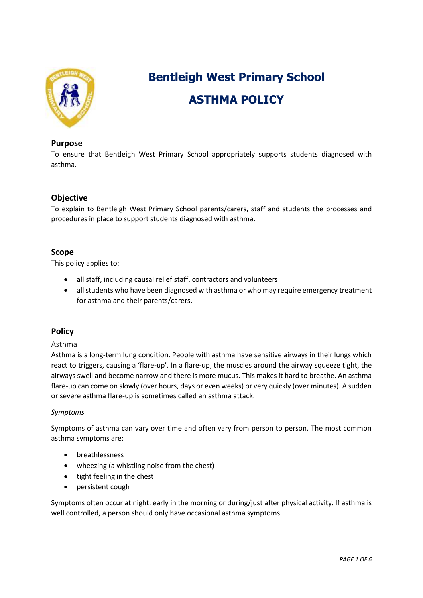

# **Bentleigh West Primary School ASTHMA POLICY**

## **Purpose**

To ensure that Bentleigh West Primary School appropriately supports students diagnosed with asthma.

## **Objective**

To explain to Bentleigh West Primary School parents/carers, staff and students the processes and procedures in place to support students diagnosed with asthma.

#### **Scope**

This policy applies to:

- all staff, including causal relief staff, contractors and volunteers
- all students who have been diagnosed with asthma or who may require emergency treatment for asthma and their parents/carers.

## **Policy**

#### Asthma

Asthma is a long-term lung condition. People with asthma have sensitive airways in their lungs which react to triggers, causing a 'flare-up'. In a flare-up, the muscles around the airway squeeze tight, the airways swell and become narrow and there is more mucus. This makes it hard to breathe. An asthma flare-up can come on slowly (over hours, days or even weeks) or very quickly (over minutes). A sudden or severe asthma flare-up is sometimes called an asthma attack.

#### *Symptoms*

Symptoms of asthma can vary over time and often vary from person to person. The most common asthma symptoms are:

- breathlessness
- wheezing (a whistling noise from the chest)
- tight feeling in the chest
- persistent cough

Symptoms often occur at night, early in the morning or during/just after physical activity. If asthma is well controlled, a person should only have occasional asthma symptoms.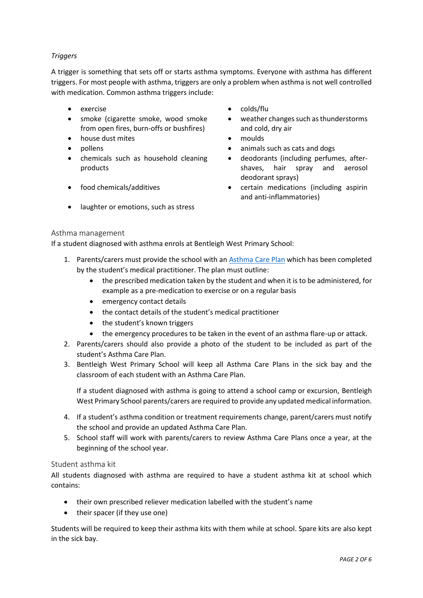## *Triggers*

A trigger is something that sets off or starts asthma symptoms. Everyone with asthma has different triggers. For most people with asthma, triggers are only a problem when asthma is not well controlled with medication. Common asthma triggers include:

- 
- smoke (cigarette smoke, wood smoke from open fires, burn-offs or bushfires)
- house dust mites moulds
- 
- chemicals such as household cleaning products
- 
- laughter or emotions, such as stress
- exercise colds/flu
	- weather changes such as thunderstorms and cold, dry air
	-
- pollens **and animals** such as cats and dogs
	- deodorants (including perfumes, aftershaves, hair spray and aerosol deodorant sprays)
- food chemicals/additives certain medications (including aspirin and anti-inflammatories)

## Asthma management

If a student diagnosed with asthma enrols at Bentleigh West Primary School:

- 1. Parents/carers must provide the school with an [Asthma Care](http://www.education.vic.gov.au/school/principals/spag/health/Documents/AsthmaCarePlan.pdf) Plan which has been completed by the student's medical practitioner. The plan must outline:
	- the prescribed medication taken by the student and when it is to be administered, for example as a pre-medication to exercise or on a regular basis
	- emergency contact details
	- the contact details of the student's medical practitioner
	- the student's known triggers
	- the emergency procedures to be taken in the event of an asthma flare-up or attack.
- 2. Parents/carers should also provide a photo of the student to be included as part of the student's Asthma Care Plan.
- 3. Bentleigh West Primary School will keep all Asthma Care Plans in the sick bay and the classroom of each student with an Asthma Care Plan.

If a student diagnosed with asthma is going to attend a school camp or excursion, Bentleigh West Primary School parents/carers are required to provide any updated medical information.

- 4. If a student's asthma condition or treatment requirements change, parent/carers must notify the school and provide an updated Asthma Care Plan.
- 5. School staff will work with parents/carers to review Asthma Care Plans once a year, at the beginning of the school year.

## Student asthma kit

All students diagnosed with asthma are required to have a student asthma kit at school which contains:

- their own prescribed reliever medication labelled with the student's name
- their spacer (if they use one)

Students will be required to keep their asthma kits with them while at school. Spare kits are also kept in the sick bay.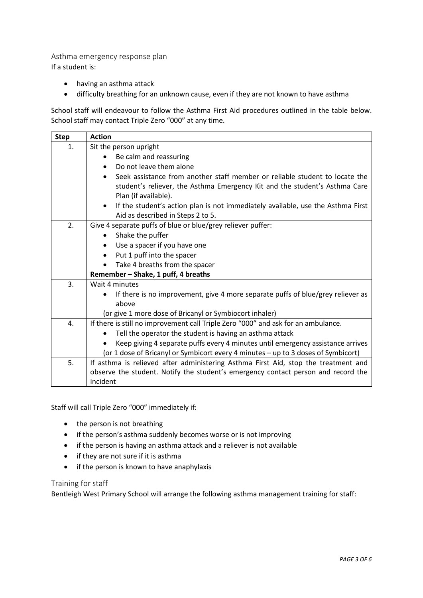## Asthma emergency response plan

If a student is:

- having an asthma attack
- difficulty breathing for an unknown cause, even if they are not known to have asthma

School staff will endeavour to follow the Asthma First Aid procedures outlined in the table below. School staff may contact Triple Zero "000" at any time.

| <b>Step</b> | <b>Action</b>                                                                                                                                                                                  |  |  |  |  |  |
|-------------|------------------------------------------------------------------------------------------------------------------------------------------------------------------------------------------------|--|--|--|--|--|
| 1.          | Sit the person upright                                                                                                                                                                         |  |  |  |  |  |
|             | Be calm and reassuring                                                                                                                                                                         |  |  |  |  |  |
|             | Do not leave them alone<br>$\bullet$                                                                                                                                                           |  |  |  |  |  |
|             | Seek assistance from another staff member or reliable student to locate the<br>$\bullet$<br>student's reliever, the Asthma Emergency Kit and the student's Asthma Care<br>Plan (if available). |  |  |  |  |  |
|             | If the student's action plan is not immediately available, use the Asthma First<br>$\bullet$<br>Aid as described in Steps 2 to 5.                                                              |  |  |  |  |  |
| 2.          | Give 4 separate puffs of blue or blue/grey reliever puffer:                                                                                                                                    |  |  |  |  |  |
|             | Shake the puffer<br>$\bullet$                                                                                                                                                                  |  |  |  |  |  |
|             | Use a spacer if you have one<br>$\bullet$                                                                                                                                                      |  |  |  |  |  |
|             | Put 1 puff into the spacer<br>$\bullet$                                                                                                                                                        |  |  |  |  |  |
|             | Take 4 breaths from the spacer                                                                                                                                                                 |  |  |  |  |  |
|             | Remember - Shake, 1 puff, 4 breaths                                                                                                                                                            |  |  |  |  |  |
| 3.          | Wait 4 minutes                                                                                                                                                                                 |  |  |  |  |  |
|             | If there is no improvement, give 4 more separate puffs of blue/grey reliever as<br>above                                                                                                       |  |  |  |  |  |
|             | (or give 1 more dose of Bricanyl or Symbiocort inhaler)                                                                                                                                        |  |  |  |  |  |
| 4.          | If there is still no improvement call Triple Zero "000" and ask for an ambulance.                                                                                                              |  |  |  |  |  |
|             | Tell the operator the student is having an asthma attack                                                                                                                                       |  |  |  |  |  |
|             | Keep giving 4 separate puffs every 4 minutes until emergency assistance arrives                                                                                                                |  |  |  |  |  |
|             | (or 1 dose of Bricanyl or Symbicort every 4 minutes - up to 3 doses of Symbicort)                                                                                                              |  |  |  |  |  |
| 5.          | If asthma is relieved after administering Asthma First Aid, stop the treatment and                                                                                                             |  |  |  |  |  |
|             | observe the student. Notify the student's emergency contact person and record the                                                                                                              |  |  |  |  |  |
|             | incident                                                                                                                                                                                       |  |  |  |  |  |

Staff will call Triple Zero "000" immediately if:

- the person is not breathing
- if the person's asthma suddenly becomes worse or is not improving
- if the person is having an asthma attack and a reliever is not available
- if they are not sure if it is asthma
- if the person is known to have anaphylaxis

#### Training for staff

Bentleigh West Primary School will arrange the following asthma management training for staff: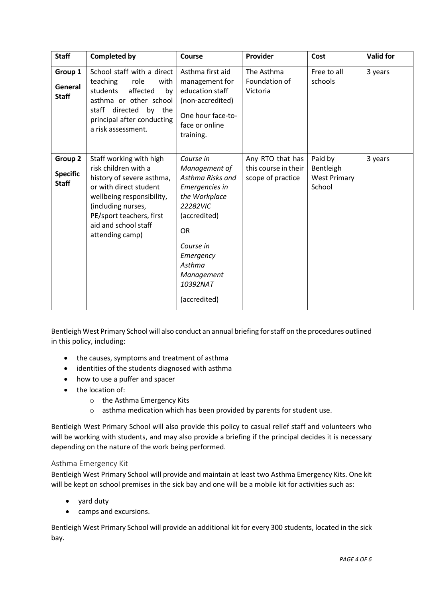| <b>Staff</b>                               | <b>Completed by</b>                                                                                                                                                                                                              | Course                                                                                                                                                                                                   | Provider                                                      | Cost                                                  | <b>Valid for</b> |
|--------------------------------------------|----------------------------------------------------------------------------------------------------------------------------------------------------------------------------------------------------------------------------------|----------------------------------------------------------------------------------------------------------------------------------------------------------------------------------------------------------|---------------------------------------------------------------|-------------------------------------------------------|------------------|
| Group 1<br>General<br><b>Staff</b>         | School staff with a direct<br>teaching<br>role<br>with<br>affected<br>students<br>by<br>asthma or other school<br>staff directed<br>by the<br>principal after conducting<br>a risk assessment.                                   | Asthma first aid<br>management for<br>education staff<br>(non-accredited)<br>One hour face-to-<br>face or online<br>training.                                                                            | The Asthma<br>Foundation of<br>Victoria                       | Free to all<br>schools                                | 3 years          |
| Group 2<br><b>Specific</b><br><b>Staff</b> | Staff working with high<br>risk children with a<br>history of severe asthma,<br>or with direct student<br>wellbeing responsibility,<br>(including nurses,<br>PE/sport teachers, first<br>aid and school staff<br>attending camp) | Course in<br>Management of<br>Asthma Risks and<br>Emergencies in<br>the Workplace<br>22282VIC<br>(accredited)<br><b>OR</b><br>Course in<br>Emergency<br>Asthma<br>Management<br>10392NAT<br>(accredited) | Any RTO that has<br>this course in their<br>scope of practice | Paid by<br>Bentleigh<br><b>West Primary</b><br>School | 3 years          |

Bentleigh West Primary School will also conduct an annual briefing for staff on the procedures outlined in this policy, including:

- the causes, symptoms and treatment of asthma
- identities of the students diagnosed with asthma
- how to use a puffer and spacer
- the location of:
	- o the Asthma Emergency Kits
	- o asthma medication which has been provided by parents for student use.

Bentleigh West Primary School will also provide this policy to casual relief staff and volunteers who will be working with students, and may also provide a briefing if the principal decides it is necessary depending on the nature of the work being performed.

## Asthma Emergency Kit

Bentleigh West Primary School will provide and maintain at least two Asthma Emergency Kits. One kit will be kept on school premises in the sick bay and one will be a mobile kit for activities such as:

- yard duty
- camps and excursions.

Bentleigh West Primary School will provide an additional kit for every 300 students, located in the sick bay.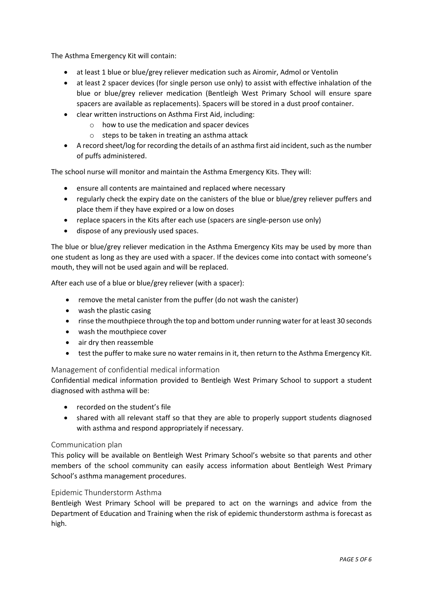The Asthma Emergency Kit will contain:

- at least 1 blue or blue/grey reliever medication such as Airomir, Admol or Ventolin
- at least 2 spacer devices (for single person use only) to assist with effective inhalation of the blue or blue/grey reliever medication (Bentleigh West Primary School will ensure spare spacers are available as replacements). Spacers will be stored in a dust proof container.
- clear written instructions on Asthma First Aid, including:
	- o how to use the medication and spacer devices
	- o steps to be taken in treating an asthma attack
- A record sheet/log for recording the details of an asthma first aid incident, such as the number of puffs administered.

The school nurse will monitor and maintain the Asthma Emergency Kits. They will:

- ensure all contents are maintained and replaced where necessary
- regularly check the expiry date on the canisters of the blue or blue/grey reliever puffers and place them if they have expired or a low on doses
- replace spacers in the Kits after each use (spacers are single-person use only)
- dispose of any previously used spaces.

The blue or blue/grey reliever medication in the Asthma Emergency Kits may be used by more than one student as long as they are used with a spacer. If the devices come into contact with someone's mouth, they will not be used again and will be replaced.

After each use of a blue or blue/grey reliever (with a spacer):

- remove the metal canister from the puffer (do not wash the canister)
- wash the plastic casing
- rinse the mouthpiece through the top and bottom under running water for at least 30 seconds
- wash the mouthpiece cover
- air dry then reassemble
- test the puffer to make sure no water remains in it, then return to the Asthma Emergency Kit.

#### Management of confidential medical information

Confidential medical information provided to Bentleigh West Primary School to support a student diagnosed with asthma will be:

- recorded on the student's file
- shared with all relevant staff so that they are able to properly support students diagnosed with asthma and respond appropriately if necessary.

#### Communication plan

This policy will be available on Bentleigh West Primary School's website so that parents and other members of the school community can easily access information about Bentleigh West Primary School's asthma management procedures.

#### Epidemic Thunderstorm Asthma

Bentleigh West Primary School will be prepared to act on the warnings and advice from the Department of Education and Training when the risk of epidemic thunderstorm asthma is forecast as high.